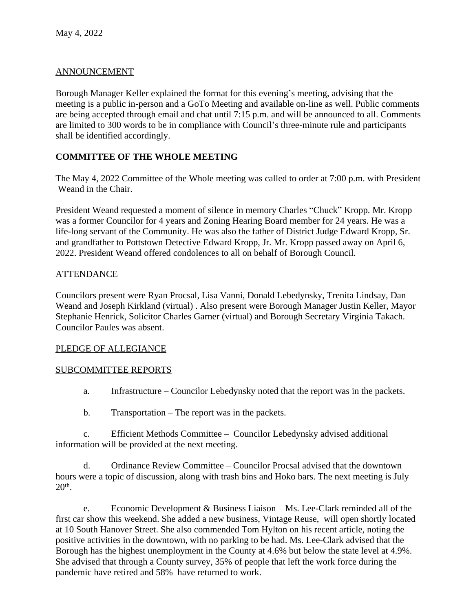# ANNOUNCEMENT

Borough Manager Keller explained the format for this evening's meeting, advising that the meeting is a public in-person and a GoTo Meeting and available on-line as well. Public comments are being accepted through email and chat until 7:15 p.m. and will be announced to all. Comments are limited to 300 words to be in compliance with Council's three-minute rule and participants shall be identified accordingly.

# **COMMITTEE OF THE WHOLE MEETING**

The May 4, 2022 Committee of the Whole meeting was called to order at 7:00 p.m. with President Weand in the Chair.

President Weand requested a moment of silence in memory Charles "Chuck" Kropp. Mr. Kropp was a former Councilor for 4 years and Zoning Hearing Board member for 24 years. He was a life-long servant of the Community. He was also the father of District Judge Edward Kropp, Sr. and grandfather to Pottstown Detective Edward Kropp, Jr. Mr. Kropp passed away on April 6, 2022. President Weand offered condolences to all on behalf of Borough Council.

## ATTENDANCE

Councilors present were Ryan Procsal, Lisa Vanni, Donald Lebedynsky, Trenita Lindsay, Dan Weand and Joseph Kirkland (virtual) . Also present were Borough Manager Justin Keller, Mayor Stephanie Henrick, Solicitor Charles Garner (virtual) and Borough Secretary Virginia Takach. Councilor Paules was absent.

## PLEDGE OF ALLEGIANCE

## SUBCOMMITTEE REPORTS

- a. Infrastructure Councilor Lebedynsky noted that the report was in the packets.
- b. Transportation The report was in the packets.

c. Efficient Methods Committee – Councilor Lebedynsky advised additional information will be provided at the next meeting.

d. Ordinance Review Committee – Councilor Procsal advised that the downtown hours were a topic of discussion, along with trash bins and Hoko bars. The next meeting is July 20th .

e. Economic Development & Business Liaison – Ms. Lee-Clark reminded all of the first car show this weekend. She added a new business, Vintage Reuse, will open shortly located at 10 South Hanover Street. She also commended Tom Hylton on his recent article, noting the positive activities in the downtown, with no parking to be had. Ms. Lee-Clark advised that the Borough has the highest unemployment in the County at 4.6% but below the state level at 4.9%. She advised that through a County survey, 35% of people that left the work force during the pandemic have retired and 58% have returned to work.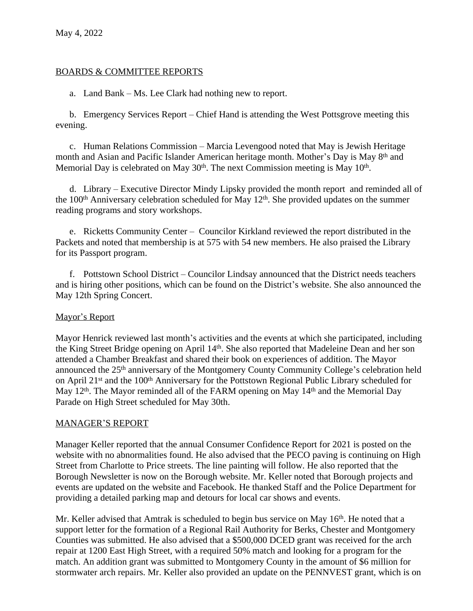### BOARDS & COMMITTEE REPORTS

a. Land Bank – Ms. Lee Clark had nothing new to report.

b. Emergency Services Report – Chief Hand is attending the West Pottsgrove meeting this evening.

c. Human Relations Commission – Marcia Levengood noted that May is Jewish Heritage month and Asian and Pacific Islander American heritage month. Mother's Day is May 8th and Memorial Day is celebrated on May 30<sup>th</sup>. The next Commission meeting is May 10<sup>th</sup>.

d. Library – Executive Director Mindy Lipsky provided the month report and reminded all of the  $100<sup>th</sup>$  Anniversary celebration scheduled for May  $12<sup>th</sup>$ . She provided updates on the summer reading programs and story workshops.

e. Ricketts Community Center – Councilor Kirkland reviewed the report distributed in the Packets and noted that membership is at 575 with 54 new members. He also praised the Library for its Passport program.

f. Pottstown School District – Councilor Lindsay announced that the District needs teachers and is hiring other positions, which can be found on the District's website. She also announced the May 12th Spring Concert.

## Mayor's Report

Mayor Henrick reviewed last month's activities and the events at which she participated, including the King Street Bridge opening on April 14th. She also reported that Madeleine Dean and her son attended a Chamber Breakfast and shared their book on experiences of addition. The Mayor announced the 25<sup>th</sup> anniversary of the Montgomery County Community College's celebration held on April 21<sup>st</sup> and the 100<sup>th</sup> Anniversary for the Pottstown Regional Public Library scheduled for May 12<sup>th</sup>. The Mayor reminded all of the FARM opening on May 14<sup>th</sup> and the Memorial Day Parade on High Street scheduled for May 30th.

#### MANAGER'S REPORT

Manager Keller reported that the annual Consumer Confidence Report for 2021 is posted on the website with no abnormalities found. He also advised that the PECO paving is continuing on High Street from Charlotte to Price streets. The line painting will follow. He also reported that the Borough Newsletter is now on the Borough website. Mr. Keller noted that Borough projects and events are updated on the website and Facebook. He thanked Staff and the Police Department for providing a detailed parking map and detours for local car shows and events.

Mr. Keller advised that Amtrak is scheduled to begin bus service on May  $16<sup>th</sup>$ . He noted that a support letter for the formation of a Regional Rail Authority for Berks, Chester and Montgomery Counties was submitted. He also advised that a \$500,000 DCED grant was received for the arch repair at 1200 East High Street, with a required 50% match and looking for a program for the match. An addition grant was submitted to Montgomery County in the amount of \$6 million for stormwater arch repairs. Mr. Keller also provided an update on the PENNVEST grant, which is on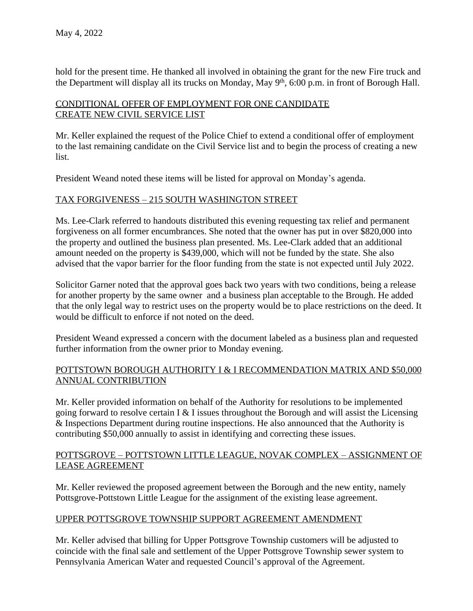hold for the present time. He thanked all involved in obtaining the grant for the new Fire truck and the Department will display all its trucks on Monday, May 9<sup>th</sup>, 6:00 p.m. in front of Borough Hall.

# CONDITIONAL OFFER OF EMPLOYMENT FOR ONE CANDIDATE CREATE NEW CIVIL SERVICE LIST

Mr. Keller explained the request of the Police Chief to extend a conditional offer of employment to the last remaining candidate on the Civil Service list and to begin the process of creating a new list.

President Weand noted these items will be listed for approval on Monday's agenda.

# TAX FORGIVENESS – 215 SOUTH WASHINGTON STREET

Ms. Lee-Clark referred to handouts distributed this evening requesting tax relief and permanent forgiveness on all former encumbrances. She noted that the owner has put in over \$820,000 into the property and outlined the business plan presented. Ms. Lee-Clark added that an additional amount needed on the property is \$439,000, which will not be funded by the state. She also advised that the vapor barrier for the floor funding from the state is not expected until July 2022.

Solicitor Garner noted that the approval goes back two years with two conditions, being a release for another property by the same owner and a business plan acceptable to the Brough. He added that the only legal way to restrict uses on the property would be to place restrictions on the deed. It would be difficult to enforce if not noted on the deed.

President Weand expressed a concern with the document labeled as a business plan and requested further information from the owner prior to Monday evening.

## POTTSTOWN BOROUGH AUTHORITY I & I RECOMMENDATION MATRIX AND \$50,000 ANNUAL CONTRIBUTION

Mr. Keller provided information on behalf of the Authority for resolutions to be implemented going forward to resolve certain I  $&$  I issues throughout the Borough and will assist the Licensing & Inspections Department during routine inspections. He also announced that the Authority is contributing \$50,000 annually to assist in identifying and correcting these issues.

## POTTSGROVE – POTTSTOWN LITTLE LEAGUE, NOVAK COMPLEX – ASSIGNMENT OF LEASE AGREEMENT

Mr. Keller reviewed the proposed agreement between the Borough and the new entity, namely Pottsgrove-Pottstown Little League for the assignment of the existing lease agreement.

## UPPER POTTSGROVE TOWNSHIP SUPPORT AGREEMENT AMENDMENT

Mr. Keller advised that billing for Upper Pottsgrove Township customers will be adjusted to coincide with the final sale and settlement of the Upper Pottsgrove Township sewer system to Pennsylvania American Water and requested Council's approval of the Agreement.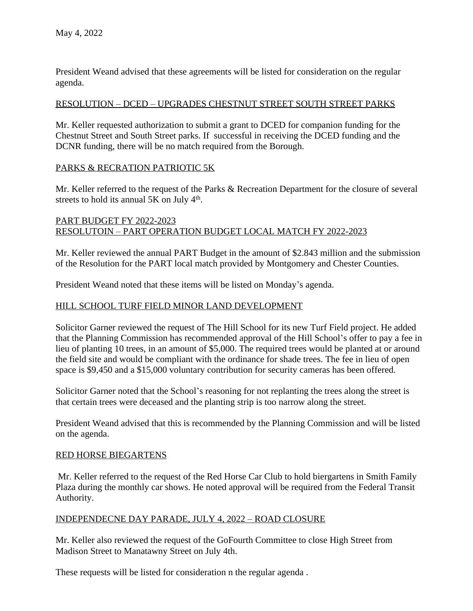President Weand advised that these agreements will be listed for consideration on the regular agenda.

### RESOLUTION – DCED – UPGRADES CHESTNUT STREET SOUTH STREET PARKS

Mr. Keller requested authorization to submit a grant to DCED for companion funding for the Chestnut Street and South Street parks. If successful in receiving the DCED funding and the DCNR funding, there will be no match required from the Borough.

### PARKS & RECRATION PATRIOTIC 5K

Mr. Keller referred to the request of the Parks & Recreation Department for the closure of several streets to hold its annual  $5K$  on July  $4<sup>th</sup>$ .

### PART BUDGET FY 2022-2023 RESOLUTOIN – PART OPERATION BUDGET LOCAL MATCH FY 2022-2023

Mr. Keller reviewed the annual PART Budget in the amount of \$2.843 million and the submission of the Resolution for the PART local match provided by Montgomery and Chester Counties.

President Weand noted that these items will be listed on Monday's agenda.

### HILL SCHOOL TURF FIELD MINOR LAND DEVELOPMENT

Solicitor Garner reviewed the request of The Hill School for its new Turf Field project. He added that the Planning Commission has recommended approval of the Hill School's offer to pay a fee in lieu of planting 10 trees, in an amount of \$5,000. The required trees would be planted at or around the field site and would be compliant with the ordinance for shade trees. The fee in lieu of open space is \$9,450 and a \$15,000 voluntary contribution for security cameras has been offered.

Solicitor Garner noted that the School's reasoning for not replanting the trees along the street is that certain trees were deceased and the planting strip is too narrow along the street.

President Weand advised that this is recommended by the Planning Commission and will be listed on the agenda.

#### RED HORSE BIEGARTENS

Mr. Keller referred to the request of the Red Horse Car Club to hold biergartens in Smith Family Plaza during the monthly car shows. He noted approval will be required from the Federal Transit Authority.

#### INDEPENDECNE DAY PARADE, JULY 4, 2022 – ROAD CLOSURE

Mr. Keller also reviewed the request of the GoFourth Committee to close High Street from Madison Street to Manatawny Street on July 4th.

These requests will be listed for consideration n the regular agenda .